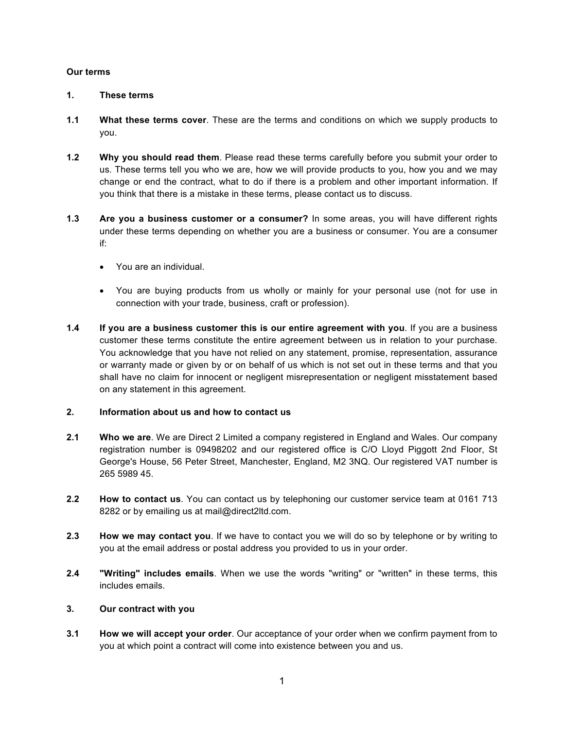#### **Our terms**

## **1. These terms**

- **1.1 What these terms cover**. These are the terms and conditions on which we supply products to you.
- **1.2 Why you should read them**. Please read these terms carefully before you submit your order to us. These terms tell you who we are, how we will provide products to you, how you and we may change or end the contract, what to do if there is a problem and other important information. If you think that there is a mistake in these terms, please contact us to discuss.
- **1.3 Are you a business customer or a consumer?** In some areas, you will have different rights under these terms depending on whether you are a business or consumer. You are a consumer if:
	- You are an individual.
	- You are buying products from us wholly or mainly for your personal use (not for use in connection with your trade, business, craft or profession).
- **1.4 If you are a business customer this is our entire agreement with you**. If you are a business customer these terms constitute the entire agreement between us in relation to your purchase. You acknowledge that you have not relied on any statement, promise, representation, assurance or warranty made or given by or on behalf of us which is not set out in these terms and that you shall have no claim for innocent or negligent misrepresentation or negligent misstatement based on any statement in this agreement.

# **2. Information about us and how to contact us**

- **2.1 Who we are**. We are Direct 2 Limited a company registered in England and Wales. Our company registration number is 09498202 and our registered office is C/O Lloyd Piggott 2nd Floor, St George's House, 56 Peter Street, Manchester, England, M2 3NQ. Our registered VAT number is 265 5989 45.
- **2.2 How to contact us**. You can contact us by telephoning our customer service team at 0161 713 8282 or by emailing us at mail@direct2ltd.com.
- **2.3 How we may contact you**. If we have to contact you we will do so by telephone or by writing to you at the email address or postal address you provided to us in your order.
- **2.4 "Writing" includes emails**. When we use the words "writing" or "written" in these terms, this includes emails.

## **3. Our contract with you**

**3.1 How we will accept your order**. Our acceptance of your order when we confirm payment from to you at which point a contract will come into existence between you and us.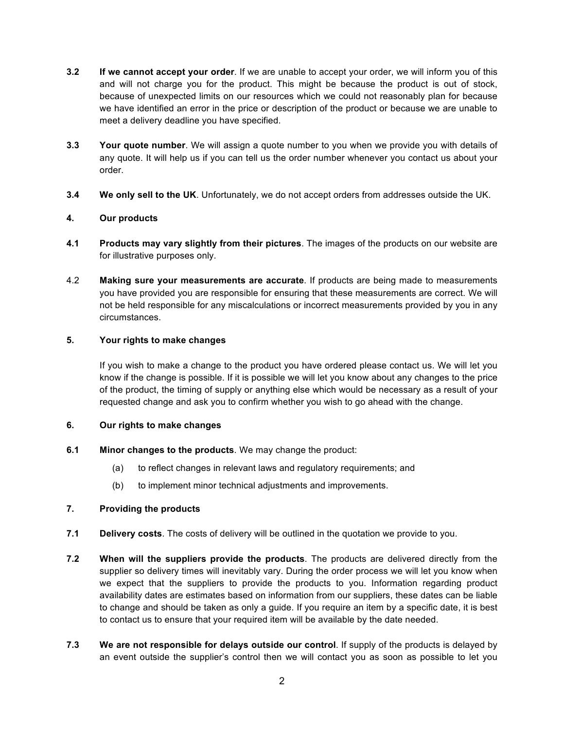- **3.2 If we cannot accept your order**. If we are unable to accept your order, we will inform you of this and will not charge you for the product. This might be because the product is out of stock, because of unexpected limits on our resources which we could not reasonably plan for because we have identified an error in the price or description of the product or because we are unable to meet a delivery deadline you have specified.
- **3.3 Your quote number**. We will assign a quote number to you when we provide you with details of any quote. It will help us if you can tell us the order number whenever you contact us about your order.
- **3.4 We only sell to the UK**. Unfortunately, we do not accept orders from addresses outside the UK.

## **4. Our products**

- **4.1 Products may vary slightly from their pictures**. The images of the products on our website are for illustrative purposes only.
- 4.2 **Making sure your measurements are accurate**. If products are being made to measurements you have provided you are responsible for ensuring that these measurements are correct. We will not be held responsible for any miscalculations or incorrect measurements provided by you in any circumstances.

## **5. Your rights to make changes**

If you wish to make a change to the product you have ordered please contact us. We will let you know if the change is possible. If it is possible we will let you know about any changes to the price of the product, the timing of supply or anything else which would be necessary as a result of your requested change and ask you to confirm whether you wish to go ahead with the change.

## **6. Our rights to make changes**

- **6.1 Minor changes to the products**. We may change the product:
	- (a) to reflect changes in relevant laws and regulatory requirements; and
	- (b) to implement minor technical adjustments and improvements.

#### **7. Providing the products**

- **7.1 Delivery costs**. The costs of delivery will be outlined in the quotation we provide to you.
- **7.2 When will the suppliers provide the products**. The products are delivered directly from the supplier so delivery times will inevitably vary. During the order process we will let you know when we expect that the suppliers to provide the products to you. Information regarding product availability dates are estimates based on information from our suppliers, these dates can be liable to change and should be taken as only a guide. If you require an item by a specific date, it is best to contact us to ensure that your required item will be available by the date needed.
- **7.3 We are not responsible for delays outside our control**. If supply of the products is delayed by an event outside the supplier's control then we will contact you as soon as possible to let you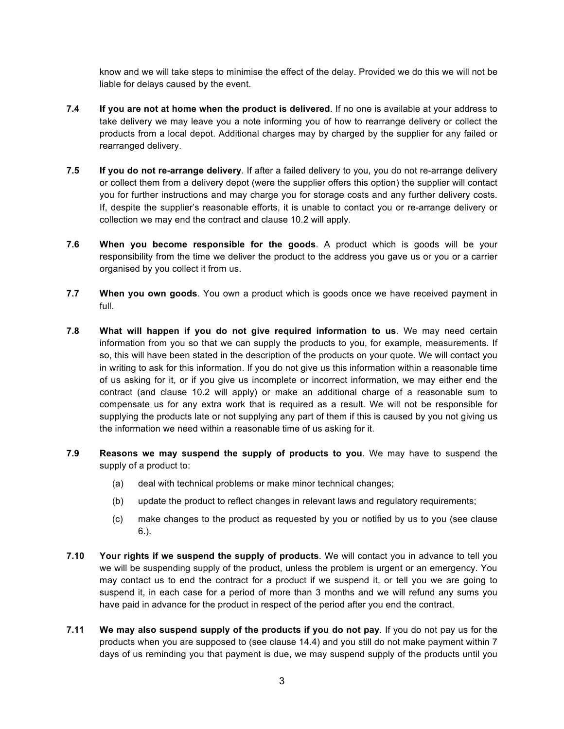know and we will take steps to minimise the effect of the delay. Provided we do this we will not be liable for delays caused by the event.

- **7.4 If you are not at home when the product is delivered**. If no one is available at your address to take delivery we may leave you a note informing you of how to rearrange delivery or collect the products from a local depot. Additional charges may by charged by the supplier for any failed or rearranged delivery.
- **7.5 If you do not re-arrange delivery**. If after a failed delivery to you, you do not re-arrange delivery or collect them from a delivery depot (were the supplier offers this option) the supplier will contact you for further instructions and may charge you for storage costs and any further delivery costs. If, despite the supplier's reasonable efforts, it is unable to contact you or re-arrange delivery or collection we may end the contract and clause 10.2 will apply.
- **7.6 When you become responsible for the goods**. A product which is goods will be your responsibility from the time we deliver the product to the address you gave us or you or a carrier organised by you collect it from us.
- **7.7 When you own goods**. You own a product which is goods once we have received payment in full.
- **7.8 What will happen if you do not give required information to us**. We may need certain information from you so that we can supply the products to you, for example, measurements. If so, this will have been stated in the description of the products on your quote. We will contact you in writing to ask for this information. If you do not give us this information within a reasonable time of us asking for it, or if you give us incomplete or incorrect information, we may either end the contract (and clause 10.2 will apply) or make an additional charge of a reasonable sum to compensate us for any extra work that is required as a result. We will not be responsible for supplying the products late or not supplying any part of them if this is caused by you not giving us the information we need within a reasonable time of us asking for it.
- **7.9 Reasons we may suspend the supply of products to you**. We may have to suspend the supply of a product to:
	- (a) deal with technical problems or make minor technical changes;
	- (b) update the product to reflect changes in relevant laws and regulatory requirements;
	- (c) make changes to the product as requested by you or notified by us to you (see clause 6.).
- **7.10 Your rights if we suspend the supply of products**. We will contact you in advance to tell you we will be suspending supply of the product, unless the problem is urgent or an emergency. You may contact us to end the contract for a product if we suspend it, or tell you we are going to suspend it, in each case for a period of more than 3 months and we will refund any sums you have paid in advance for the product in respect of the period after you end the contract.
- **7.11 We may also suspend supply of the products if you do not pay**. If you do not pay us for the products when you are supposed to (see clause 14.4) and you still do not make payment within 7 days of us reminding you that payment is due, we may suspend supply of the products until you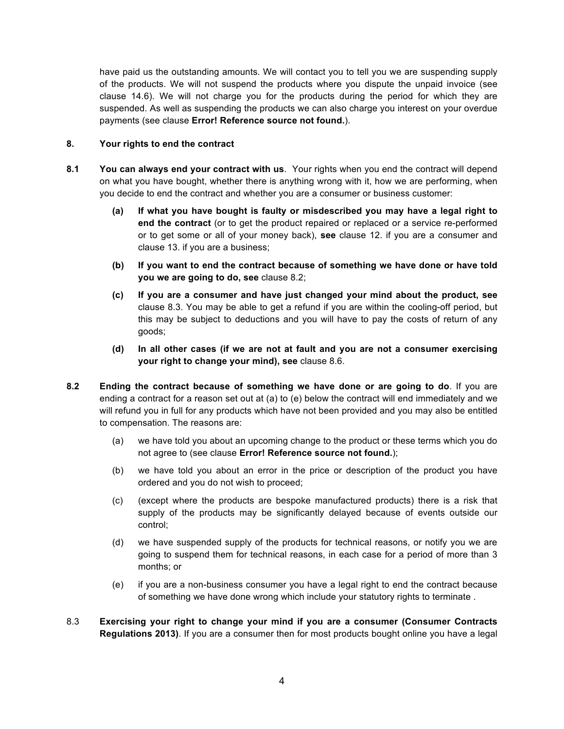have paid us the outstanding amounts. We will contact you to tell you we are suspending supply of the products. We will not suspend the products where you dispute the unpaid invoice (see clause 14.6). We will not charge you for the products during the period for which they are suspended. As well as suspending the products we can also charge you interest on your overdue payments (see clause **Error! Reference source not found.**).

## **8. Your rights to end the contract**

- **8.1 You can always end your contract with us**. Your rights when you end the contract will depend on what you have bought, whether there is anything wrong with it, how we are performing, when you decide to end the contract and whether you are a consumer or business customer:
	- **(a) If what you have bought is faulty or misdescribed you may have a legal right to end the contract** (or to get the product repaired or replaced or a service re-performed or to get some or all of your money back), **see** clause 12. if you are a consumer and clause 13. if you are a business;
	- **(b) If you want to end the contract because of something we have done or have told you we are going to do, see** clause 8.2;
	- **(c) If you are a consumer and have just changed your mind about the product, see**  clause 8.3. You may be able to get a refund if you are within the cooling-off period, but this may be subject to deductions and you will have to pay the costs of return of any goods;
	- **(d) In all other cases (if we are not at fault and you are not a consumer exercising your right to change your mind), see** clause 8.6.
- **8.2 Ending the contract because of something we have done or are going to do**. If you are ending a contract for a reason set out at (a) to (e) below the contract will end immediately and we will refund you in full for any products which have not been provided and you may also be entitled to compensation. The reasons are:
	- (a) we have told you about an upcoming change to the product or these terms which you do not agree to (see clause **Error! Reference source not found.**);
	- (b) we have told you about an error in the price or description of the product you have ordered and you do not wish to proceed;
	- (c) (except where the products are bespoke manufactured products) there is a risk that supply of the products may be significantly delayed because of events outside our control;
	- (d) we have suspended supply of the products for technical reasons, or notify you we are going to suspend them for technical reasons, in each case for a period of more than 3 months; or
	- (e) if you are a non-business consumer you have a legal right to end the contract because of something we have done wrong which include your statutory rights to terminate .
- 8.3 **Exercising your right to change your mind if you are a consumer (Consumer Contracts Regulations 2013)**. If you are a consumer then for most products bought online you have a legal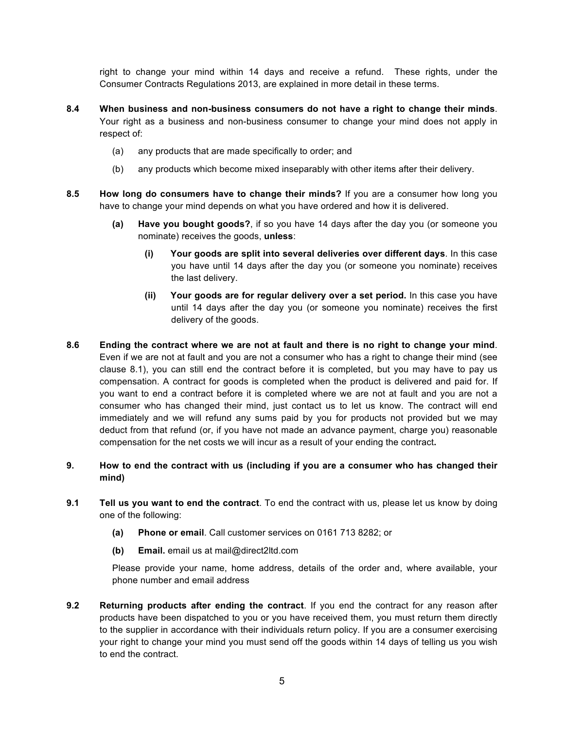right to change your mind within 14 days and receive a refund. These rights, under the Consumer Contracts Regulations 2013, are explained in more detail in these terms.

- **8.4 When business and non-business consumers do not have a right to change their minds**. Your right as a business and non-business consumer to change your mind does not apply in respect of:
	- (a) any products that are made specifically to order; and
	- (b) any products which become mixed inseparably with other items after their delivery.
- **8.5 How long do consumers have to change their minds?** If you are a consumer how long you have to change your mind depends on what you have ordered and how it is delivered.
	- **(a) Have you bought goods?**, if so you have 14 days after the day you (or someone you nominate) receives the goods, **unless**:
		- **(i) Your goods are split into several deliveries over different days**. In this case you have until 14 days after the day you (or someone you nominate) receives the last delivery.
		- **(ii) Your goods are for regular delivery over a set period.** In this case you have until 14 days after the day you (or someone you nominate) receives the first delivery of the goods.
- **8.6 Ending the contract where we are not at fault and there is no right to change your mind**. Even if we are not at fault and you are not a consumer who has a right to change their mind (see clause 8.1), you can still end the contract before it is completed, but you may have to pay us compensation. A contract for goods is completed when the product is delivered and paid for. If you want to end a contract before it is completed where we are not at fault and you are not a consumer who has changed their mind, just contact us to let us know. The contract will end immediately and we will refund any sums paid by you for products not provided but we may deduct from that refund (or, if you have not made an advance payment, charge you) reasonable compensation for the net costs we will incur as a result of your ending the contract**.**
- **9. How to end the contract with us (including if you are a consumer who has changed their mind)**
- **9.1 Tell us you want to end the contract**. To end the contract with us, please let us know by doing one of the following:
	- **(a) Phone or email**. Call customer services on 0161 713 8282; or
	- **(b) Email.** email us at mail@direct2ltd.com

Please provide your name, home address, details of the order and, where available, your phone number and email address

**9.2 Returning products after ending the contract**. If you end the contract for any reason after products have been dispatched to you or you have received them, you must return them directly to the supplier in accordance with their individuals return policy. If you are a consumer exercising your right to change your mind you must send off the goods within 14 days of telling us you wish to end the contract.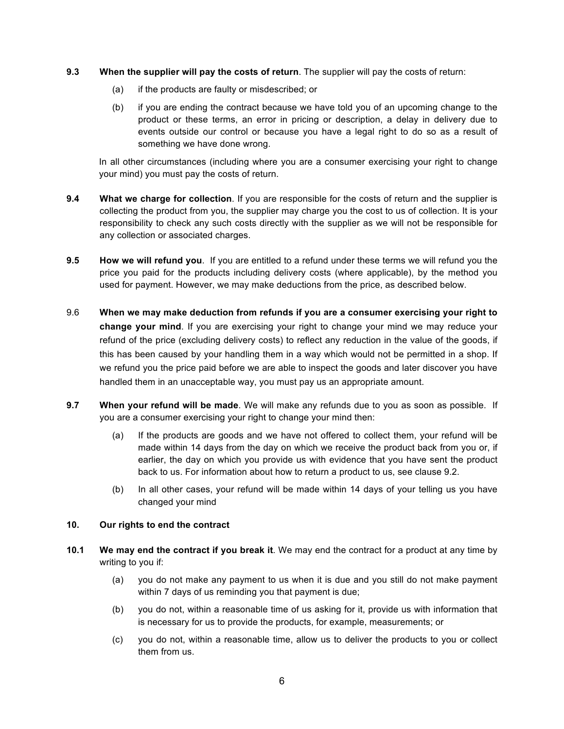- **9.3 When the supplier will pay the costs of return**. The supplier will pay the costs of return:
	- (a) if the products are faulty or misdescribed; or
	- (b) if you are ending the contract because we have told you of an upcoming change to the product or these terms, an error in pricing or description, a delay in delivery due to events outside our control or because you have a legal right to do so as a result of something we have done wrong.

In all other circumstances (including where you are a consumer exercising your right to change your mind) you must pay the costs of return.

- **9.4 What we charge for collection**. If you are responsible for the costs of return and the supplier is collecting the product from you, the supplier may charge you the cost to us of collection. It is your responsibility to check any such costs directly with the supplier as we will not be responsible for any collection or associated charges.
- **9.5 How we will refund you**. If you are entitled to a refund under these terms we will refund you the price you paid for the products including delivery costs (where applicable), by the method you used for payment. However, we may make deductions from the price, as described below.
- 9.6 **When we may make deduction from refunds if you are a consumer exercising your right to change your mind**. If you are exercising your right to change your mind we may reduce your refund of the price (excluding delivery costs) to reflect any reduction in the value of the goods, if this has been caused by your handling them in a way which would not be permitted in a shop. If we refund you the price paid before we are able to inspect the goods and later discover you have handled them in an unacceptable way, you must pay us an appropriate amount.
- **9.7 When your refund will be made**. We will make any refunds due to you as soon as possible. If you are a consumer exercising your right to change your mind then:
	- (a) If the products are goods and we have not offered to collect them, your refund will be made within 14 days from the day on which we receive the product back from you or, if earlier, the day on which you provide us with evidence that you have sent the product back to us. For information about how to return a product to us, see clause 9.2.
	- (b) In all other cases, your refund will be made within 14 days of your telling us you have changed your mind

## **10. Our rights to end the contract**

- **10.1 We may end the contract if you break it**. We may end the contract for a product at any time by writing to you if:
	- (a) you do not make any payment to us when it is due and you still do not make payment within 7 days of us reminding you that payment is due;
	- (b) you do not, within a reasonable time of us asking for it, provide us with information that is necessary for us to provide the products, for example, measurements; or
	- (c) you do not, within a reasonable time, allow us to deliver the products to you or collect them from us.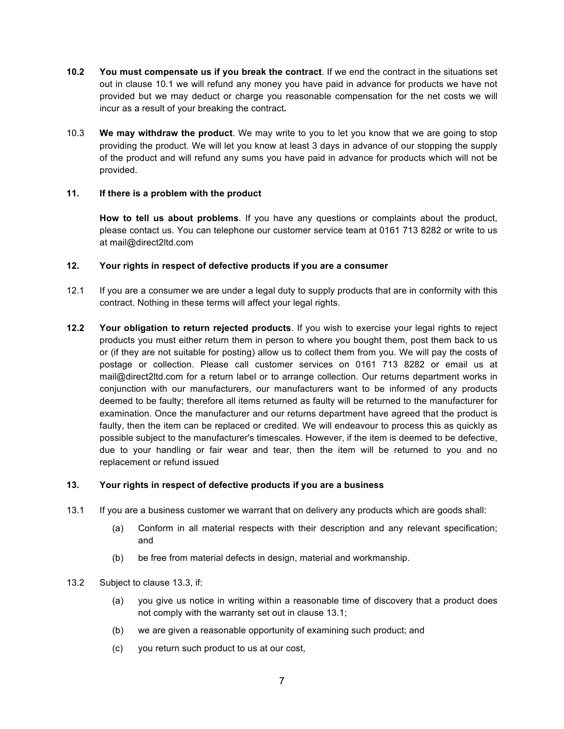- **10.2 You must compensate us if you break the contract**. If we end the contract in the situations set out in clause 10.1 we will refund any money you have paid in advance for products we have not provided but we may deduct or charge you reasonable compensation for the net costs we will incur as a result of your breaking the contract**.**
- 10.3 **We may withdraw the product**. We may write to you to let you know that we are going to stop providing the product. We will let you know at least 3 days in advance of our stopping the supply of the product and will refund any sums you have paid in advance for products which will not be provided.

## **11. If there is a problem with the product**

**How to tell us about problems**. If you have any questions or complaints about the product, please contact us. You can telephone our customer service team at 0161 713 8282 or write to us at mail@direct2ltd.com

#### **12. Your rights in respect of defective products if you are a consumer**

- 12.1 If you are a consumer we are under a legal duty to supply products that are in conformity with this contract. Nothing in these terms will affect your legal rights.
- **12.2 Your obligation to return rejected products**. If you wish to exercise your legal rights to reject products you must either return them in person to where you bought them, post them back to us or (if they are not suitable for posting) allow us to collect them from you. We will pay the costs of postage or collection. Please call customer services on 0161 713 8282 or email us at mail@direct2ltd.com for a return label or to arrange collection. Our returns department works in conjunction with our manufacturers, our manufacturers want to be informed of any products deemed to be faulty; therefore all items returned as faulty will be returned to the manufacturer for examination. Once the manufacturer and our returns department have agreed that the product is faulty, then the item can be replaced or credited. We will endeavour to process this as quickly as possible subject to the manufacturer's timescales. However, if the item is deemed to be defective, due to your handling or fair wear and tear, then the item will be returned to you and no replacement or refund issued

## **13. Your rights in respect of defective products if you are a business**

- 13.1 If you are a business customer we warrant that on delivery any products which are goods shall:
	- (a) Conform in all material respects with their description and any relevant specification; and
	- (b) be free from material defects in design, material and workmanship.
- 13.2 Subject to clause 13.3, if:
	- (a) you give us notice in writing within a reasonable time of discovery that a product does not comply with the warranty set out in clause 13.1;
	- (b) we are given a reasonable opportunity of examining such product; and
	- (c) you return such product to us at our cost,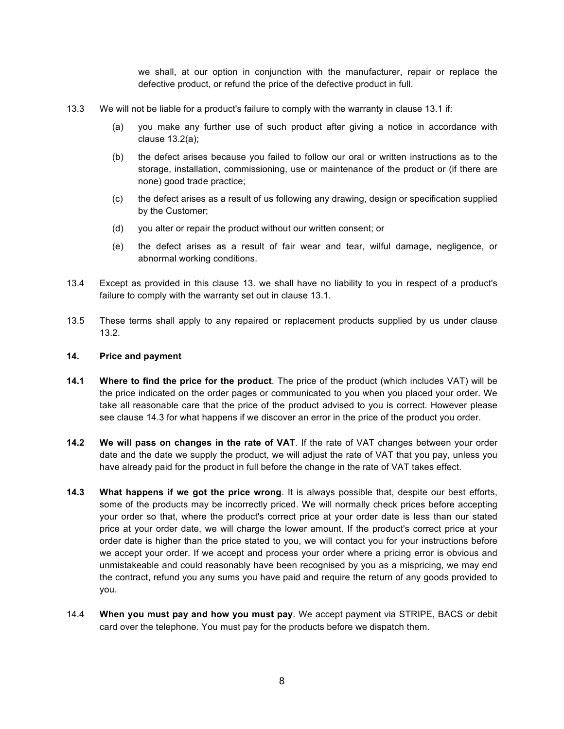we shall, at our option in conjunction with the manufacturer, repair or replace the defective product, or refund the price of the defective product in full.

- 13.3 We will not be liable for a product's failure to comply with the warranty in clause 13.1 if:
	- (a) you make any further use of such product after giving a notice in accordance with clause 13.2(a);
	- (b) the defect arises because you failed to follow our oral or written instructions as to the storage, installation, commissioning, use or maintenance of the product or (if there are none) good trade practice;
	- (c) the defect arises as a result of us following any drawing, design or specification supplied by the Customer;
	- (d) you alter or repair the product without our written consent; or
	- (e) the defect arises as a result of fair wear and tear, wilful damage, negligence, or abnormal working conditions.
- 13.4 Except as provided in this clause 13. we shall have no liability to you in respect of a product's failure to comply with the warranty set out in clause 13.1.
- 13.5 These terms shall apply to any repaired or replacement products supplied by us under clause 13.2.

### **14. Price and payment**

- **14.1 Where to find the price for the product**. The price of the product (which includes VAT) will be the price indicated on the order pages or communicated to you when you placed your order. We take all reasonable care that the price of the product advised to you is correct. However please see clause 14.3 for what happens if we discover an error in the price of the product you order.
- **14.2 We will pass on changes in the rate of VAT**. If the rate of VAT changes between your order date and the date we supply the product, we will adjust the rate of VAT that you pay, unless you have already paid for the product in full before the change in the rate of VAT takes effect.
- **14.3 What happens if we got the price wrong**. It is always possible that, despite our best efforts, some of the products may be incorrectly priced. We will normally check prices before accepting your order so that, where the product's correct price at your order date is less than our stated price at your order date, we will charge the lower amount. If the product's correct price at your order date is higher than the price stated to you, we will contact you for your instructions before we accept your order. If we accept and process your order where a pricing error is obvious and unmistakeable and could reasonably have been recognised by you as a mispricing, we may end the contract, refund you any sums you have paid and require the return of any goods provided to you.
- 14.4 **When you must pay and how you must pay**. We accept payment via STRIPE, BACS or debit card over the telephone. You must pay for the products before we dispatch them.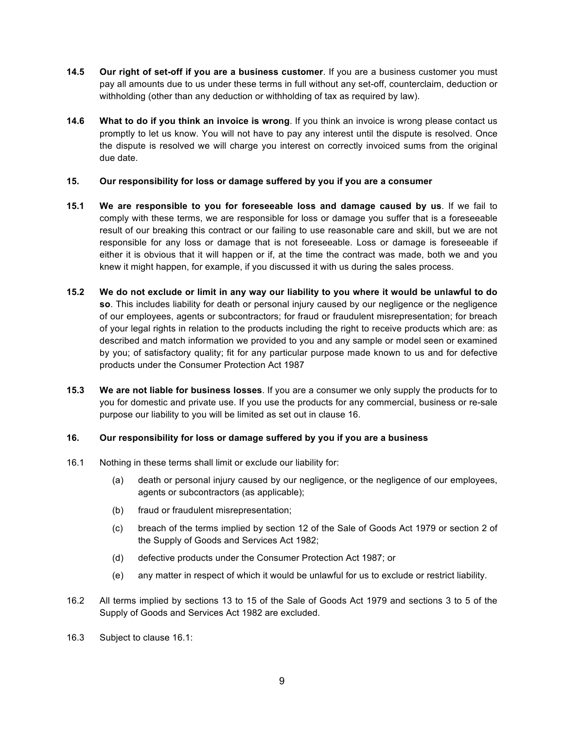- **14.5 Our right of set-off if you are a business customer**. If you are a business customer you must pay all amounts due to us under these terms in full without any set-off, counterclaim, deduction or withholding (other than any deduction or withholding of tax as required by law).
- **14.6 What to do if you think an invoice is wrong**. If you think an invoice is wrong please contact us promptly to let us know. You will not have to pay any interest until the dispute is resolved. Once the dispute is resolved we will charge you interest on correctly invoiced sums from the original due date.

## **15. Our responsibility for loss or damage suffered by you if you are a consumer**

- **15.1 We are responsible to you for foreseeable loss and damage caused by us**. If we fail to comply with these terms, we are responsible for loss or damage you suffer that is a foreseeable result of our breaking this contract or our failing to use reasonable care and skill, but we are not responsible for any loss or damage that is not foreseeable. Loss or damage is foreseeable if either it is obvious that it will happen or if, at the time the contract was made, both we and you knew it might happen, for example, if you discussed it with us during the sales process.
- **15.2 We do not exclude or limit in any way our liability to you where it would be unlawful to do so**. This includes liability for death or personal injury caused by our negligence or the negligence of our employees, agents or subcontractors; for fraud or fraudulent misrepresentation; for breach of your legal rights in relation to the products including the right to receive products which are: as described and match information we provided to you and any sample or model seen or examined by you; of satisfactory quality; fit for any particular purpose made known to us and for defective products under the Consumer Protection Act 1987
- **15.3 We are not liable for business losses**. If you are a consumer we only supply the products for to you for domestic and private use. If you use the products for any commercial, business or re-sale purpose our liability to you will be limited as set out in clause 16.

## **16. Our responsibility for loss or damage suffered by you if you are a business**

- 16.1 Nothing in these terms shall limit or exclude our liability for:
	- (a) death or personal injury caused by our negligence, or the negligence of our employees, agents or subcontractors (as applicable);
	- (b) fraud or fraudulent misrepresentation;
	- (c) breach of the terms implied by section 12 of the Sale of Goods Act 1979 or section 2 of the Supply of Goods and Services Act 1982;
	- (d) defective products under the Consumer Protection Act 1987; or
	- (e) any matter in respect of which it would be unlawful for us to exclude or restrict liability.
- 16.2 All terms implied by sections 13 to 15 of the Sale of Goods Act 1979 and sections 3 to 5 of the Supply of Goods and Services Act 1982 are excluded.
- 16.3 Subject to clause 16.1: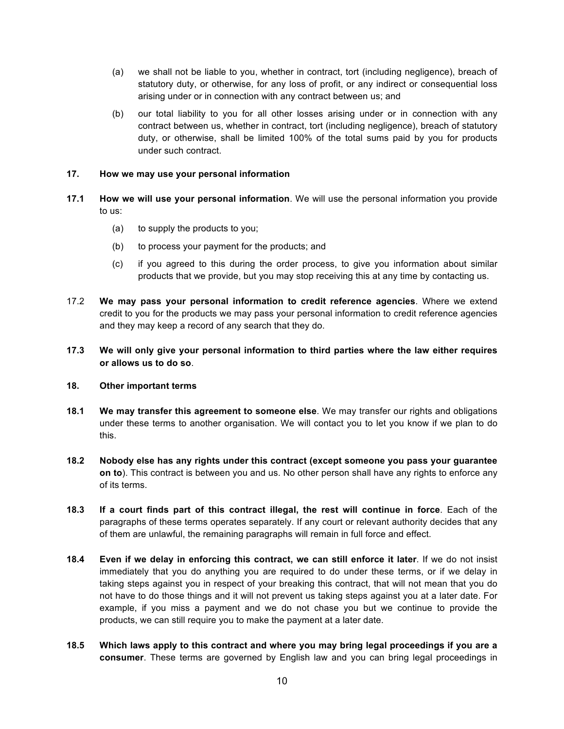- (a) we shall not be liable to you, whether in contract, tort (including negligence), breach of statutory duty, or otherwise, for any loss of profit, or any indirect or consequential loss arising under or in connection with any contract between us; and
- (b) our total liability to you for all other losses arising under or in connection with any contract between us, whether in contract, tort (including negligence), breach of statutory duty, or otherwise, shall be limited 100% of the total sums paid by you for products under such contract.

### **17. How we may use your personal information**

- **17.1 How we will use your personal information**. We will use the personal information you provide to us:
	- (a) to supply the products to you;
	- (b) to process your payment for the products; and
	- (c) if you agreed to this during the order process, to give you information about similar products that we provide, but you may stop receiving this at any time by contacting us.
- 17.2 **We may pass your personal information to credit reference agencies**. Where we extend credit to you for the products we may pass your personal information to credit reference agencies and they may keep a record of any search that they do.
- **17.3 We will only give your personal information to third parties where the law either requires or allows us to do so**.

## **18. Other important terms**

- **18.1 We may transfer this agreement to someone else**. We may transfer our rights and obligations under these terms to another organisation. We will contact you to let you know if we plan to do this.
- **18.2 Nobody else has any rights under this contract (except someone you pass your guarantee on to**). This contract is between you and us. No other person shall have any rights to enforce any of its terms.
- **18.3 If a court finds part of this contract illegal, the rest will continue in force**. Each of the paragraphs of these terms operates separately. If any court or relevant authority decides that any of them are unlawful, the remaining paragraphs will remain in full force and effect.
- **18.4 Even if we delay in enforcing this contract, we can still enforce it later**. If we do not insist immediately that you do anything you are required to do under these terms, or if we delay in taking steps against you in respect of your breaking this contract, that will not mean that you do not have to do those things and it will not prevent us taking steps against you at a later date. For example, if you miss a payment and we do not chase you but we continue to provide the products, we can still require you to make the payment at a later date.
- **18.5 Which laws apply to this contract and where you may bring legal proceedings if you are a consumer**. These terms are governed by English law and you can bring legal proceedings in